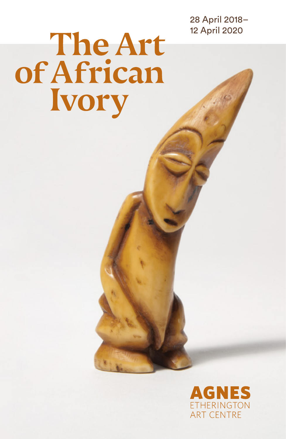28 April 2018– 12 April 2020

# The Art of African **Ivory**

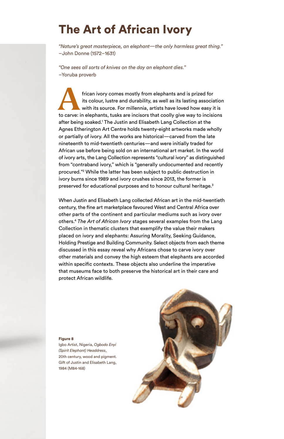# The Art of African Ivory

*"Nature's great masterpiece, an elephant—the only harmless great thing."* –John Donne (1572–1631)

*"One sees all sorts of knives on the day an elephant dies."* –Yoruba proverb

frican ivory comes mostly from elephants and is prized for its colour, lustre and durability, as well as its lasting association with its source. For millennia, artists have loved how easy it is to carve: in elephants, tusks are incisors that coolly give way to incisions after being soaked.<sup>1</sup> The Justin and Elisabeth Lang Collection at the Agnes Etherington Art Centre holds twenty-eight artworks made wholly or partially of ivory. All the works are historical—carved from the late nineteenth to mid-twentieth centuries—and were initially traded for African use before being sold on an international art market. In the world of ivory arts, the Lang Collection represents "cultural ivory" as distinguished from "contraband ivory," which is "generally undocumented and recently procured."2 While the latter has been subject to public destruction in ivory burns since 1989 and ivory crushes since 2013, the former is preserved for educational purposes and to honour cultural heritage.<sup>3</sup>

When Justin and Elisabeth Lang collected African art in the mid-twentieth century, the fine art marketplace favoured West and Central Africa over other parts of the continent and particular mediums such as ivory over others.4 *The Art of African Ivory* stages several examples from the Lang Collection in thematic clusters that exemplify the value their makers placed on ivory and elephants: Assuring Morality, Seeking Guidance, Holding Prestige and Building Community. Select objects from each theme discussed in this essay reveal why Africans chose to carve ivory over other materials and convey the high esteem that elephants are accorded within specific contexts. These objects also underline the imperative that museums face to both preserve the historical art in their care and protect African wildlife.

#### Figure 8

Igbo Artist, Nigeria, *Ogbodo Enyi (Spirit Elephant) Headdress*, 20th century, wood and pigment. Gift of Justin and Elisabeth Lang, 1984 (M84-168)

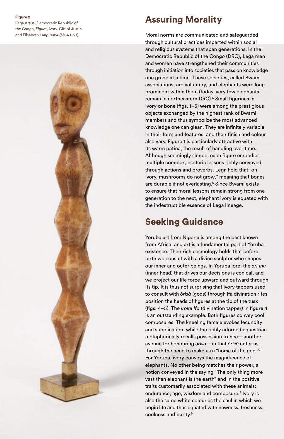Lega Artist, Democratic Republic of the Congo, *Figure*, ivory. Gift of Justin and Elisabeth Lang, 1984 (M84-030)

## Assuring Morality

Moral norms are communicated and safeguarded through cultural practices imparted within social and religious systems that span generations. In the Democratic Republic of the Congo (DRC), Lega men and women have strengthened their communities through initiation into societies that pass on knowledge one grade at a time. These societies, called Bwami associations, are voluntary, and elephants were long prominent within them (today, very few elephants remain in northeastern DRC).<sup>5</sup> Small figurines in ivory or bone (figs. 1–3) were among the prestigious objects exchanged by the highest rank of Bwami members and thus symbolize the most advanced knowledge one can glean. They are infinitely variable in their form and features, and their finish and colour also vary. Figure 1 is particularly attractive with its warm patina, the result of handling over time. Although seemingly simple, each figure embodies multiple complex, esoteric lessons richly conveyed through actions and proverbs. Lega hold that "on ivory, mushrooms do not grow," meaning that bones are durable if not everlasting.<sup>6</sup> Since Bwami exists to ensure that moral lessons remain strong from one generation to the next, elephant ivory is equated with the indestructible essence of Lega lineage.

## Seeking Guidance

Yoruba art from Nigeria is among the best known from Africa, and art is a fundamental part of Yoruba existence. Their rich cosmology holds that before birth we consult with a divine sculptor who shapes our inner and outer beings. In Yoruba lore, the *ori inu*  (inner head) that drives our decisions is conical, and we project our life force upward and outward through its tip. It is thus not surprising that ivory tappers used to consult with *òrìsà* (gods) through Ifa divination rites position the heads of figures at the tip of the tusk (figs. 4–5). The *iroke Ifa* (divination tapper) in figure 4 is an outstanding example. Both figures convey cool composures. The kneeling female evokes fecundity and supplication, while the richly adorned equestrian metaphorically recalls possession trance—another avenue for honouring *òrìsà*—in that *òrìsà* enter us through the head to make us a "horse of the god."7 For Yoruba, ivory conveys the magnificence of elephants. No other being matches their power, a notion conveyed in the saying "The only thing more vast than elephant is the earth" and in the positive traits customarily associated with these animals: endurance, age, wisdom and composure.<sup>8</sup> Ivory is also the same white colour as the caul in which we begin life and thus equated with newness, freshness, coolness and purity.9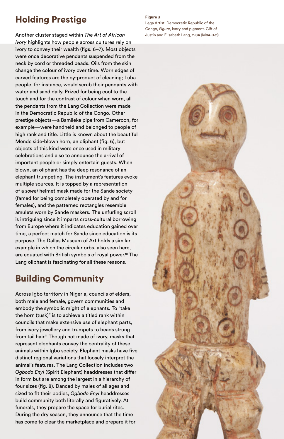## Holding Prestige

Another cluster staged within *The Art of African Ivory* highlights how people across cultures rely on ivory to convey their wealth (figs. 6–7). Most objects were once decorative pendants suspended from the neck by cord or threaded beads. Oils from the skin change the colour of ivory over time. Worn edges of carved features are the by-product of cleaning; Luba people, for instance, would scrub their pendants with water and sand daily. Prized for being cool to the touch and for the contrast of colour when worn, all the pendants from the Lang Collection were made in the Democratic Republic of the Congo. Other prestige objects—a Bamileke pipe from Cameroon, for example—were handheld and belonged to people of high rank and title. Little is known about the beautiful Mende side-blown horn, an oliphant (fig. 6), but objects of this kind were once used in military celebrations and also to announce the arrival of important people or simply entertain guests. When blown, an oliphant has the deep resonance of an elephant trumpeting. The instrument's features evoke multiple sources. It is topped by a representation of a *sowei* helmet mask made for the Sande society (famed for being completely operated by and for females), and the patterned rectangles resemble amulets worn by Sande maskers. The unfurling scroll is intriguing since it imparts cross-cultural borrowing from Europe where it indicates education gained over time, a perfect match for Sande since education is its purpose. The Dallas Museum of Art holds a similar example in which the circular orbs, also seen here, are equated with British symbols of royal power.<sup>10</sup> The Lang oliphant is fascinating for all these reasons.

## Building Community

Across Igbo territory in Nigeria, councils of elders, both male and female, govern communities and embody the symbolic might of elephants. To "take the horn (tusk)" is to achieve a titled rank within councils that make extensive use of elephant parts, from ivory jewellery and trumpets to beads strung from tail hair.<sup>11</sup> Though not made of ivory, masks that represent elephants convey the centrality of these animals within Igbo society. Elephant masks have five distinct regional variations that loosely interpret the animal's features. The Lang Collection includes two *Ogbodo Enyi* (Spirit Elephant) headdresses that differ in form but are among the largest in a hierarchy of four sizes (fig. 8). Danced by males of all ages and sized to fit their bodies, *Ogbodo Enyi* headdresses build community both literally and figuratively. At funerals, they prepare the space for burial rites. During the dry season, they announce that the time has come to clear the marketplace and prepare it for

#### Figure 3

Lega Artist, Democratic Republic of the Congo, *Figure*, ivory and pigment. Gift of Justin and Elisabeth Lang, 1984 (M84-031)

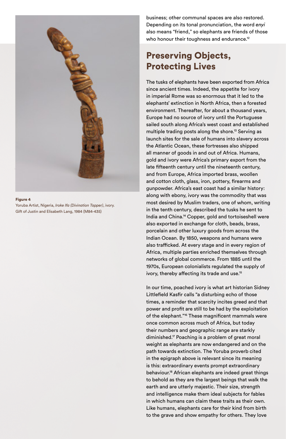

Yoruba Artist, Nigeria, *Iroke Ifa (Divination Tapper)*, ivory. Gift of Justin and Elisabeth Lang, 1984 (M84-435)

business; other communal spaces are also restored. Depending on its tonal pronunciation, the word *enyi* also means "friend," so elephants are friends of those who honour their toughness and endurance.<sup>12</sup>

## Preserving Objects, Protecting Lives

The tusks of elephants have been exported from Africa since ancient times. Indeed, the appetite for ivory in imperial Rome was so enormous that it led to the elephants' extinction in North Africa, then a forested environment. Thereafter, for about a thousand years, Europe had no source of ivory until the Portuguese sailed south along Africa's west coast and established multiple trading posts along the shore.13 Serving as launch sites for the sale of humans into slavery across the Atlantic Ocean, these fortresses also shipped all manner of goods in and out of Africa. Humans, gold and ivory were Africa's primary export from the late fifteenth century until the nineteenth century, and from Europe, Africa imported brass, woollen and cotton cloth, glass, iron, pottery, firearms and gunpowder. Africa's east coast had a similar history: along with ebony, ivory was the commodity that was most desired by Muslim traders, one of whom, writing in the tenth century, described the tusks he sent to India and China.14 Copper, gold and tortoiseshell were also exported in exchange for cloth, beads, brass, porcelain and other luxury goods from across the Indian Ocean. By 1850, weapons and humans were also trafficked. At every stage and in every region of Africa, multiple parties enriched themselves through networks of global commerce. From 1885 until the 1970s, European colonialists regulated the supply of ivory, thereby affecting its trade and use.<sup>15</sup>

In our time, poached ivory is what art historian Sidney Littlefield Kasfir calls "a disturbing echo of those times, a reminder that scarcity incites greed and that power and profit are still to be had by the exploitation of the elephant."<sup>16</sup> These magnificent mammals were once common across much of Africa, but today their numbers and geographic range are starkly diminished.17 Poaching is a problem of great moral weight as elephants are now endangered and on the path towards extinction. The Yoruba proverb cited in the epigraph above is relevant since its meaning is this: extraordinary events prompt extraordinary behaviour.18 African elephants are indeed great things to behold as they are the largest beings that walk the earth and are utterly majestic. Their size, strength and intelligence make them ideal subjects for fables in which humans can claim these traits as their own. Like humans, elephants care for their kind from birth to the grave and show empathy for others. They love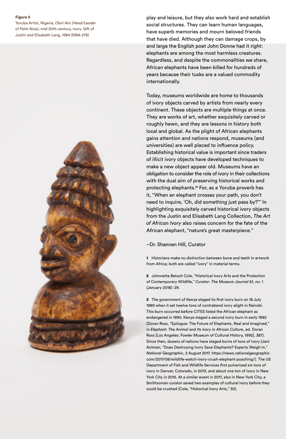Yoruba Artist, Nigeria, *Olori Ikin (Head/Leader of Palm Nuts)*, mid-20th century, ivory. Gift of Justin and Elisabeth Lang, 1984 (M84-278)



play and leisure, but they also work hard and establish social structures. They can learn human languages, have superb memories and mourn beloved friends that have died. Although they can damage crops, by and large the English poet John Donne had it right: elephants are among the most harmless creatures. Regardless, and despite the commonalities we share, African elephants have been killed for hundreds of years because their tusks are a valued commodity internationally.

Today, museums worldwide are home to thousands of ivory objects carved by artists from nearly every continent. These objects are multiple things at once. They are works of art, whether exquisitely carved or roughly hewn, and they are lessons in history both local and global. As the plight of African elephants gains attention and nations respond, museums (and universities) are well placed to influence policy. Establishing historical value is important since traders of illicit ivory objects have developed techniques to make a new object appear old. Museums have an obligation to consider the role of ivory in their collections with the dual aim of preserving historical works and protecting elephants.19 For, as a Yoruba proverb has it, "When an elephant crosses your path, you don't need to inquire, 'Oh, did something just pass by?'" In highlighting exquisitely carved historical ivory objects from the Justin and Elisabeth Lang Collection, *The Art of African Ivory* also raises concern for the fate of the African elephant, "nature's great masterpiece."

#### –Dr. Shannen Hill, Curator

1 Historians make no distinction between bone and teeth in artwork from Africa; both are called "ivory" in material terms.

2 Johnnetta Betsch Cole, "Historical Ivory Arts and the Protection of Contemporary Wildlife," *Curator: The Museum Journal* 61, no. 1 (January 2018): 29.

3 The government of Kenya staged its first ivory burn on 18 July 1989 when it set twelve tons of contraband ivory alight in Nairobi. This burn occurred before CITES listed the African elephant as endangered in 1990. Kenya staged a second ivory burn in early 1992 (Doran Ross, "Epilogue: The Future of Elephants, Real and Imagined," in *Elephant: The Animal and Its Ivory in African Culture*, ed. Doran Ross [Los Angeles: Fowler Museum of Cultural History, 1992], 387). Since then, dozens of nations have staged burns of tons of ivory (Jani Actman, "Does Destroying Ivory Save Elephants? Experts Weigh In," *National Geographic*, 2 August 2017. https://news.nationalgeographic. com/2017/08/wildlife-watch-ivory-crush-elephant-poaching/). The US Department of Fish and Wildlife Services first pulverized six tons of ivory in Denver, Colorado, in 2013, and about one ton of ivory in New York City in 2015. At a similar event in 2017, also in New York City, a Smithsonian curator saved two examples of cultural ivory before they could be crushed (Cole, "Historical Ivory Arts," 30).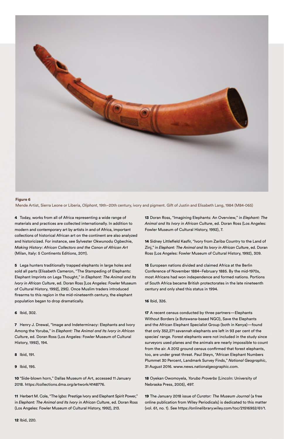

Mende Artist, Sierra Leone or Liberia, *Oliphant*, 19th–20th century, ivory and pigment. Gift of Justin and Elisabeth Lang, 1984 (M84-065)

4 Today, works from all of Africa representing a wide range of materials and practices are collected internationally. In addition to modern and contemporary art by artists in and of Africa, important collections of historical African art on the continent are also analyzed and historicized. For instance, see Sylvester Okwunodu Ogbechie, *Making History: African Collectors and the Canon of African Art* (Milan, Italy: 5 Continents Editions, 2011).

5 Lega hunters traditionally trapped elephants in large holes and sold all parts (Elisabeth Cameron, "The Stampeding of Elephants: Elephant Imprints on Lega Thought," in *Elephant: The Animal and Its Ivory in African Culture*, ed. Doran Ross [Los Angeles: Fowler Museum of Cultural History, 1992], 295). Once Muslim traders introduced firearms to this region in the mid-nineteenth century, the elephant population began to drop dramatically.

6 Ibid, 302.

7 Henry J. Drewal, "Image and Indeterminacy: Elephants and Ivory Among the Yoruba," in *Elephant: The Animal and Its Ivory in African Culture*, ed. Doran Ross (Los Angeles: Fowler Museum of Cultural History, 1992), 194.

- 8 Ibid, 191.
- 9 Ibid, 195.

10 "Side-blown horn," Dallas Museum of Art, accessed 11 January 2018. https://collections.dma.org/artwork/4148776.

11 Herbert M. Cole, "The Igbo: Prestige Ivory and Elephant Spirit Power," in *Elephant: The Animal and Its Ivory in African Culture*, ed. Doran Ross (Los Angeles: Fowler Museum of Cultural History, 1992), 213.

13 Doran Ross, "Imagining Elephants: An Overview," in *Elephant: The Animal and Its Ivory in African Culture*, ed. Doran Ross (Los Angeles: Fowler Museum of Cultural History, 1992), 7.

14 Sidney Littlefield Kasfir, "Ivory from Zariba Country to the Land of Zinj," in *Elephant: The Animal and Its Ivory in African Culture*, ed. Doran Ross (Los Angeles: Fowler Museum of Cultural History, 1992), 309.

15 European nations divided and claimed Africa at the Berlin Conference of November 1884–February 1885. By the mid-1970s, most Africans had won independence and formed nations. Portions of South Africa became British protectorates in the late nineteenth century and only shed this status in 1994.

#### 16 Ibid, 326.

17 A recent census conducted by three partners—Elephants Without Borders (a Botswana-based NGO), Save the Elephants and the African Elephant Specialist Group (both in Kenya)—found that only 352,271 savannah elephants are left in 93 per cent of the species' range. Forest elephants were not included in the study since surveyors used planes and the animals are nearly impossible to count from the air. A 2012 ground census confirmed that forest elephants, too, are under great threat. Paul Steyn, "African Elephant Numbers Plummet 30 Percent, Landmark Survey Finds," *National Geographic*, 31 August 2016. www.news.nationalgeographic.com.

18 Oyekan Owomoyela, *Yoruba Proverbs* (Lincoln: University of Nebraska Press, 2005), 497.

19 The January 2018 issue of *Curator: The Museum Journal* (a free online publication from Wiley Periodicals) is dedicated to this matter (vol. 61, no. 1). See https://onlinelibrary.wiley.com/toc/21516952/61/1.